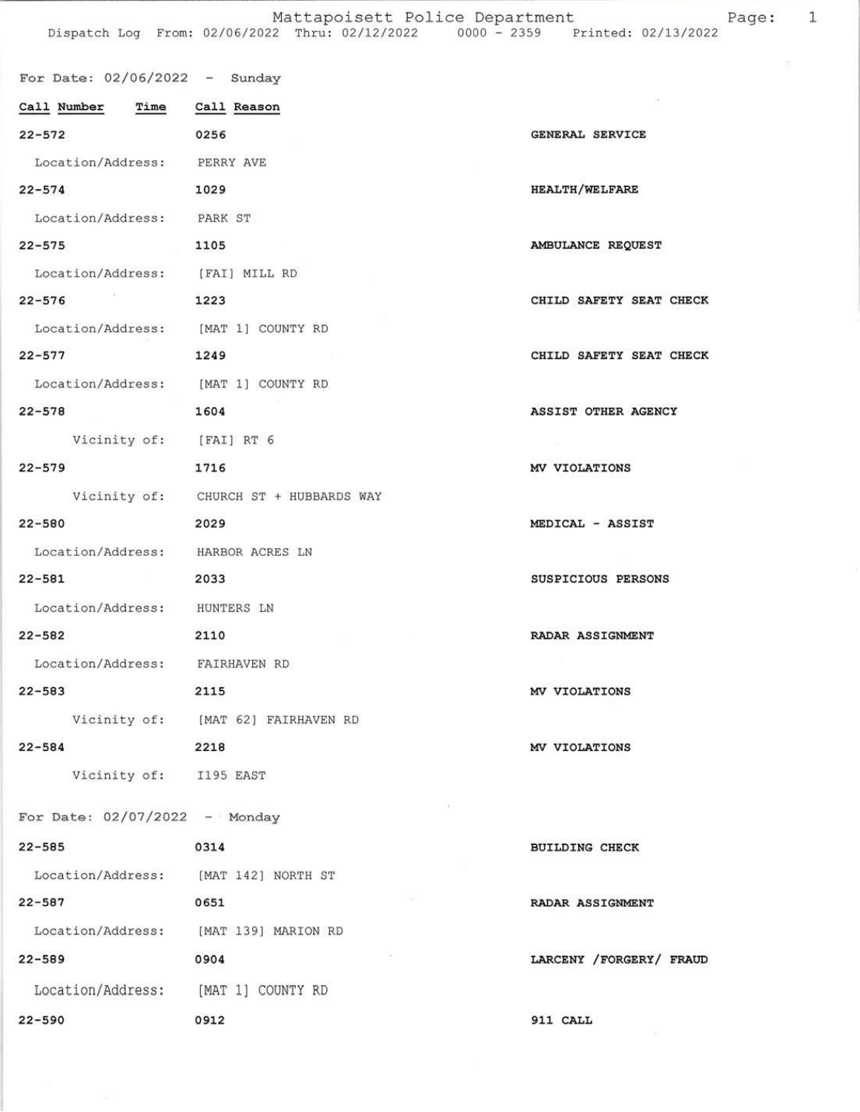Mattapoisett Police Department<br>Dispatch Log From: 02/06/2022 Thru: 02/12/2022 0000 - 2359 Printed: 02/13/2022 Page: 1

| For Date: $02/06/2022 -$ Sunday       |                                       |                         |
|---------------------------------------|---------------------------------------|-------------------------|
| Call Number  Time  Call Reason        |                                       |                         |
| 22-572                                | 0256                                  | GENERAL SERVICE         |
| Location/Address: PERRY AVE           |                                       |                         |
| $22 - 574$                            | 1029                                  | <b>HEALTH/WELFARE</b>   |
| Location/Address: PARK ST             |                                       |                         |
| $22 - 575$                            | 1105                                  | AMBULANCE REQUEST       |
| Location/Address: [FAI] MILL RD       |                                       |                         |
| $22 - 576$                            | 1223                                  | CHILD SAFETY SEAT CHECK |
| Location/Address: [MAT 1] COUNTY RD   |                                       |                         |
| $22 - 577$                            | 1249                                  | CHILD SAFETY SEAT CHECK |
| Location/Address: [MAT 1] COUNTY RD   |                                       |                         |
| $22 - 578$                            | 1604                                  | ASSIST OTHER AGENCY     |
| Vicinity of: [FAI] RT 6               |                                       |                         |
| $22 - 579$                            | 1716                                  | MV VIOLATIONS           |
|                                       | Vicinity of: CHURCH ST + HUBBARDS WAY |                         |
| $22 - 580$                            | 2029                                  | MEDICAL - ASSIST        |
| Location/Address: HARBOR ACRES LN     |                                       |                         |
| $22 - 581$                            | 2033                                  | SUSPICIOUS PERSONS      |
| Location/Address: HUNTERS LN          |                                       |                         |
| $22 - 582$                            | 2110                                  | RADAR ASSIGNMENT        |
| Location/Address: FAIRHAVEN RD        |                                       |                         |
| $22 - 583$                            | 2115                                  | MV VIOLATIONS           |
|                                       | Vicinity of: [MAT 62] FAIRHAVEN RD    |                         |
| $22 - 584$                            | 2218                                  | MV VIOLATIONS           |
| Vicinity of: I195 EAST                |                                       |                         |
| For Date: $02/07/2022 -$ Monday       |                                       |                         |
| $22 - 585$                            | 0314                                  | <b>BUILDING CHECK</b>   |
| Location/Address: [MAT 142] NORTH ST  |                                       |                         |
| $22 - 587$                            | 0651                                  | RADAR ASSIGNMENT        |
| Location/Address: [MAT 139] MARION RD |                                       |                         |
| $22 - 589$                            | 0904                                  | LARCENY /FORGERY/ FRAUD |
| Location/Address: [MAT 1] COUNTY RD   |                                       |                         |
| $22 - 590$                            | 0912                                  | 911 CALL                |

 $\frac{\partial}{\partial x}$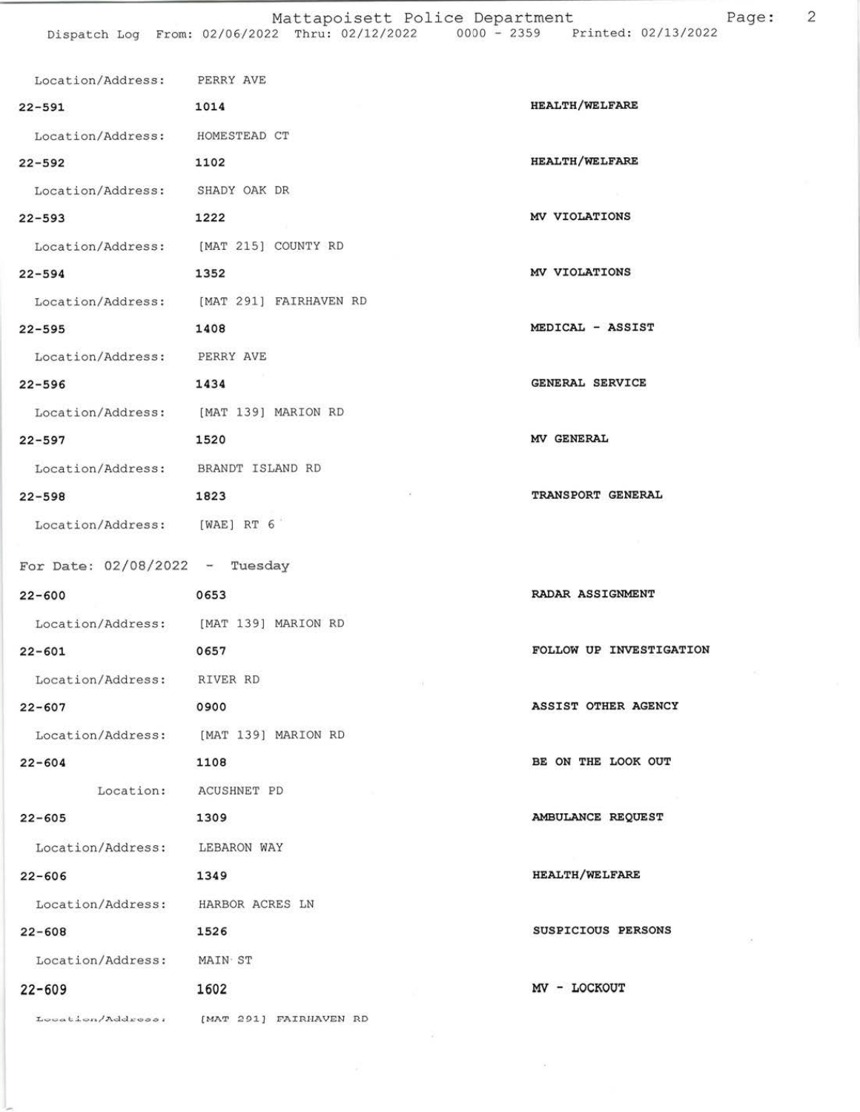| Location/Address: PERRY AVE        |                                          |                         |
|------------------------------------|------------------------------------------|-------------------------|
| 1014<br>$22 - 591$                 |                                          | <b>HEALTH/WELFARE</b>   |
| Location/Address: HOMESTEAD CT     |                                          |                         |
| $22 - 592$                         | 1102                                     | <b>HEALTH/WELFARE</b>   |
| Location/Address: SHADY OAK DR     |                                          |                         |
| $22 - 593$                         | 1222                                     | MV VIOLATIONS           |
|                                    | Location/Address: [MAT 215] COUNTY RD    |                         |
| 1352<br>$22 - 594$                 |                                          | MV VIOLATIONS           |
|                                    | Location/Address: [MAT 291] FAIRHAVEN RD |                         |
| $22 - 595$                         | 1408                                     | MEDICAL - ASSIST        |
| Location/Address: PERRY AVE        |                                          |                         |
| 1434<br>$22 - 596$                 |                                          | GENERAL SERVICE         |
|                                    | Location/Address: [MAT 139] MARION RD    |                         |
| $22 - 597$<br>1520                 |                                          | MV GENERAL              |
| Location/Address: BRANDT ISLAND RD |                                          |                         |
| $22 - 598$                         | 36<br>1823                               | TRANSPORT GENERAL       |
| Location/Address: [WAE] RT 6       |                                          |                         |
| For Date: $02/08/2022 - Tuesday$   |                                          |                         |
|                                    |                                          | RADAR ASSIGNMENT        |
| $22 - 600$                         | 0653                                     |                         |
|                                    | Location/Address: [MAT 139] MARION RD    | FOLLOW UP INVESTIGATION |
| $22 - 601$                         | 0657                                     |                         |
| Location/Address: RIVER RD         | - 19                                     |                         |
| $22 - 607$                         | 0900                                     | ASSIST OTHER AGENCY     |
|                                    | Location/Address: [MAT 139] MARION RD    |                         |
| $22 - 604$                         | 1108                                     | BE ON THE LOOK OUT      |
|                                    | Location: ACUSHNET PD                    |                         |
| $22 - 605$                         | 1309                                     | AMBULANCE REQUEST       |
| Location/Address:                  | LEBARON WAY                              |                         |
| $22 - 606$                         | 1349                                     | <b>HEALTH/WELFARE</b>   |
| Location/Address:                  | HARBOR ACRES LN                          |                         |
| $22 - 608$                         | 1526                                     | SUSPICIOUS PERSONS      |
| Location/Address: MAIN ST          |                                          |                         |
| $22 - 609$                         | 1602                                     | MV - LOCKOUT            |
|                                    | Location/Address: [MAT 291] FAIRHAVEN RD |                         |

 $\sim$   $20$ 

 $\left( \begin{array}{c} 0 \\ 0 \end{array} \right)$ 

 $\propto$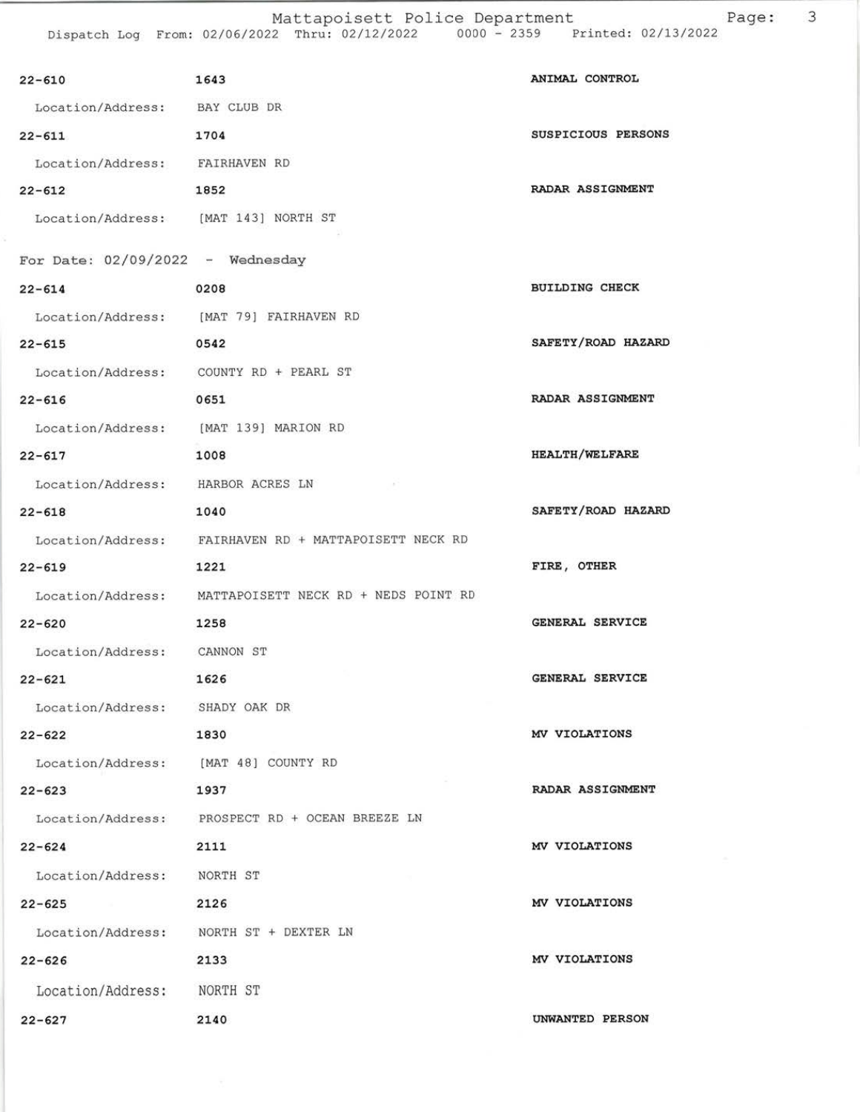| $22 - 610$                            | 1643                                                   | ANIMAL CONTROL        |
|---------------------------------------|--------------------------------------------------------|-----------------------|
| Location/Address: BAY CLUB DR         |                                                        |                       |
| $22 - 611$                            | 1704                                                   | SUSPICIOUS PERSONS    |
| Location/Address: FAIRHAVEN RD        |                                                        |                       |
| $22 - 612$                            | 1852                                                   | RADAR ASSIGNMENT      |
| Location/Address: [MAT 143] NORTH ST  |                                                        |                       |
| For Date: $02/09/2022 -$ Wednesday    |                                                        |                       |
| $22 - 614$                            | 0208                                                   | <b>BUILDING CHECK</b> |
|                                       | Location/Address: [MAT 79] FAIRHAVEN RD                |                       |
| $22 - 615$                            | 0542                                                   | SAFETY/ROAD HAZARD    |
|                                       | Location/Address: COUNTY RD + PEARL ST                 |                       |
| $22 - 616$                            | 0651                                                   | RADAR ASSIGNMENT      |
| Location/Address: [MAT 139] MARION RD |                                                        |                       |
| $22 - 617$                            | 1008                                                   | <b>HEALTH/WELFARE</b> |
| Location/Address: HARBOR ACRES LN     |                                                        |                       |
| $22 - 618$                            | 1040                                                   | SAFETY/ROAD HAZARD    |
|                                       | Location/Address: FAIRHAVEN RD + MATTAPOISETT NECK RD  |                       |
| $22 - 619$                            | 1221                                                   | FIRE, OTHER           |
|                                       | Location/Address: MATTAPOISETT NECK RD + NEDS POINT RD |                       |
| $22 - 620$                            | 1258                                                   | GENERAL SERVICE       |
| Location/Address: CANNON ST           |                                                        |                       |
| $22 - 621$                            | 1626                                                   | GENERAL SERVICE       |
| Location/Address: SHADY OAK DR        |                                                        |                       |
| $22 - 622$                            | 1830                                                   | MV VIOLATIONS         |
| Location/Address: [MAT 48] COUNTY RD  |                                                        |                       |
| $22 - 623$                            | 1937                                                   | RADAR ASSIGNMENT      |
|                                       | Location/Address: PROSPECT RD + OCEAN BREEZE LN        |                       |
| $22 - 624$                            | 2111                                                   | MV VIOLATIONS         |
| Location/Address: NORTH ST            |                                                        |                       |
| $22 - 625$                            | 2126                                                   | MV VIOLATIONS         |
|                                       | Location/Address: NORTH ST + DEXTER LN                 |                       |
| $22 - 626$                            | 2133                                                   | MV VIOLATIONS         |
| Location/Address: NORTH ST            |                                                        |                       |
| $22 - 627$                            | 2140                                                   | UNWANTED PERSON       |
|                                       |                                                        |                       |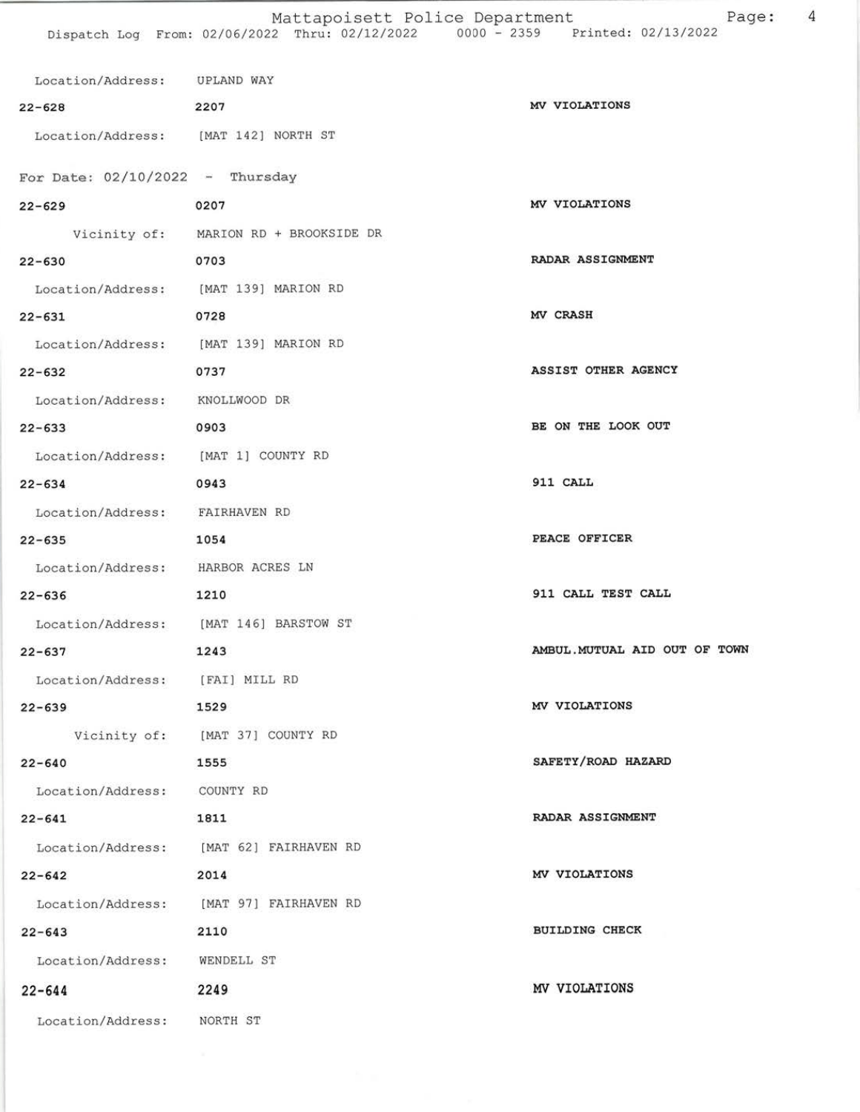| Location/Address: UPLAND WAY          |                                         |                               |
|---------------------------------------|-----------------------------------------|-------------------------------|
| $22 - 628$                            | 2207                                    | MV VIOLATIONS                 |
| Location/Address: [MAT 142] NORTH ST  |                                         |                               |
| For Date: $02/10/2022 -$ Thursday     |                                         |                               |
| $22 - 629$                            | 0207                                    | MV VIOLATIONS                 |
|                                       | Vicinity of: MARION RD + BROOKSIDE DR   |                               |
| $22 - 630$                            | 0703                                    | RADAR ASSIGNMENT              |
| Location/Address: [MAT 139] MARION RD |                                         |                               |
| $22 - 631$                            | 0728                                    | MV CRASH                      |
| Location/Address: [MAT 139] MARION RD |                                         |                               |
| $22 - 632$                            | 0737                                    | ASSIST OTHER AGENCY           |
| Location/Address: KNOLLWOOD DR        |                                         |                               |
| $22 - 633$                            | 0903                                    | BE ON THE LOOK OUT            |
| Location/Address: [MAT 1] COUNTY RD   |                                         |                               |
| $22 - 634$                            | 0943                                    | 911 CALL                      |
| Location/Address: FAIRHAVEN RD        |                                         |                               |
| $22 - 635$                            | 1054                                    | PEACE OFFICER                 |
| Location/Address: HARBOR ACRES LN     |                                         |                               |
| $22 - 636$                            | 1210                                    | 911 CALL TEST CALL            |
|                                       | Location/Address: [MAT 146] BARSTOW ST  |                               |
| $22 - 637$                            | 1243                                    | AMBUL. MUTUAL AID OUT OF TOWN |
| Location/Address: [FAI] MILL RD       |                                         |                               |
| $22 - 639$                            | 1529                                    | MV VIOLATIONS                 |
|                                       | Vicinity of: [MAT 37] COUNTY RD         |                               |
| $22 - 640$                            | 1555                                    | SAFETY/ROAD HAZARD            |
| Location/Address: COUNTY RD           |                                         |                               |
| $22 - 641$                            | 1811                                    | RADAR ASSIGNMENT              |
|                                       | Location/Address: [MAT 62] FAIRHAVEN RD |                               |
| $22 - 642$                            | 2014                                    | MV VIOLATIONS                 |
|                                       | Location/Address: [MAT 97] FAIRHAVEN RD |                               |
| $22 - 643$                            | 2110                                    | <b>BUILDING CHECK</b>         |
| Location/Address: WENDELL ST          |                                         |                               |
|                                       |                                         |                               |
| $22 - 644$                            | 2249                                    | MV VIOLATIONS                 |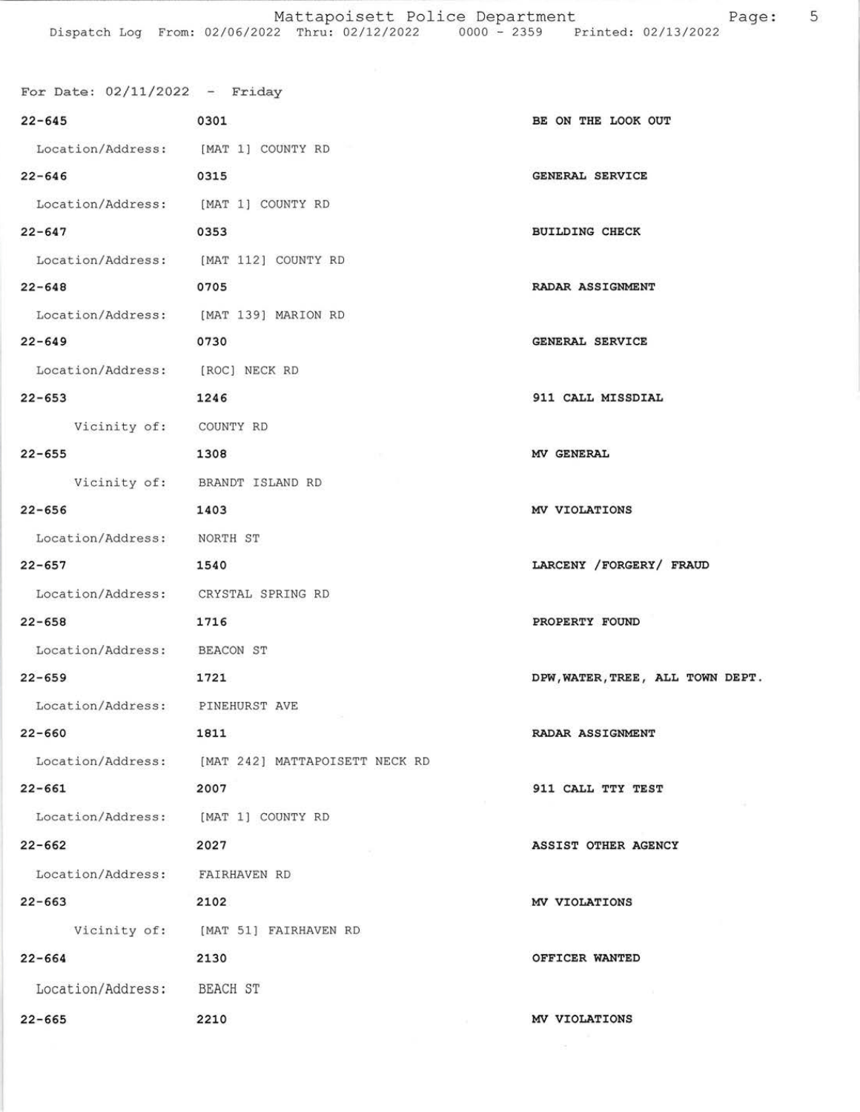| For Date: $02/11/2022 -$ Friday       |                                                  |                                  |
|---------------------------------------|--------------------------------------------------|----------------------------------|
| $22 - 645$                            | 0301                                             | BE ON THE LOOK OUT               |
| Location/Address: [MAT 1] COUNTY RD   |                                                  |                                  |
| $22 - 646$                            | 0315                                             | <b>GENERAL SERVICE</b>           |
| Location/Address: [MAT 1] COUNTY RD   |                                                  |                                  |
| $22 - 647$                            | 0353                                             | <b>BUILDING CHECK</b>            |
| Location/Address: [MAT 112] COUNTY RD |                                                  |                                  |
| $22 - 648$                            | 0705                                             | RADAR ASSIGNMENT                 |
| Location/Address: [MAT 139] MARION RD |                                                  |                                  |
| $22 - 649$                            | 0730                                             | GENERAL SERVICE                  |
| Location/Address: [ROC] NECK RD       |                                                  |                                  |
| $22 - 653$                            | 1246                                             | 911 CALL MISSDIAL                |
| Vicinity of: COUNTY RD                |                                                  |                                  |
| $22 - 655$                            | 1308                                             | MV GENERAL                       |
|                                       | Vicinity of: BRANDT ISLAND RD                    |                                  |
| $22 - 656$                            | 1403                                             | MV VIOLATIONS                    |
| Location/Address: NORTH ST            |                                                  |                                  |
| $22 - 657$                            | 1540                                             | LARCENY / FORGERY / FRAUD        |
| Location/Address: CRYSTAL SPRING RD   |                                                  |                                  |
| $22 - 658$                            | 1716                                             | PROPERTY FOUND                   |
| Location/Address: BEACON ST           |                                                  |                                  |
| $22 - 659$                            | 1721                                             | DPW, WATER, TREE, ALL TOWN DEPT. |
| Location/Address:                     | PINEHURST AVE                                    |                                  |
| $22 - 660$                            | 1811                                             | RADAR ASSIGNMENT                 |
|                                       | Location/Address: [MAT 242] MATTAPOISETT NECK RD |                                  |
| $22 - 661$                            | 2007                                             | 911 CALL TTY TEST                |
| Location/Address: [MAT 1] COUNTY RD   |                                                  |                                  |
| $22 - 662$                            | 2027                                             | <b>ASSIST OTHER AGENCY</b>       |
| Location/Address: FAIRHAVEN RD        |                                                  |                                  |
| $22 - 663$                            | 2102                                             | MV VIOLATIONS                    |
|                                       | Vicinity of: [MAT 51] FAIRHAVEN RD               |                                  |
| $22 - 664$                            | 2130                                             | OFFICER WANTED                   |
| Location/Address: BEACH ST            |                                                  |                                  |
| $22 - 665$                            | 2210                                             | MV VIOLATIONS                    |